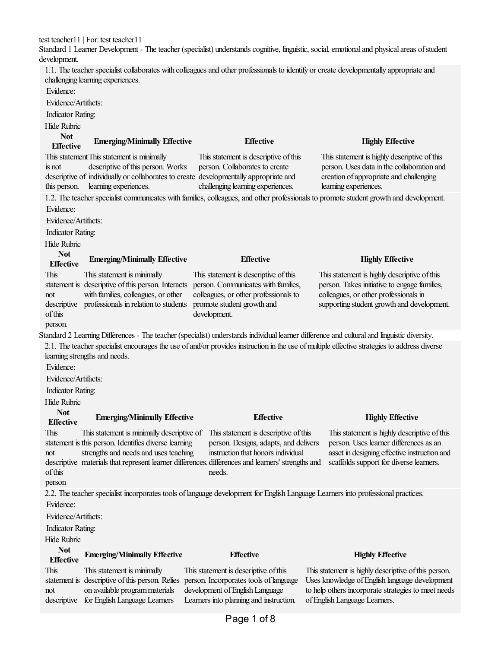test teacher11 | For: test teacher11

Standard 1 Learner Development - The teacher (specialist) understands cognitive, linguistic, social, emotional and physical areas of student development.

1.1. The teacher specialist collaborates with colleagues and other professionals to identify or create developmentally appropriate and challenging learning experiences. Evidence:

Evidence/Artifacts:

Indicator Rating:

Hide Rubric

| <b>Not</b><br><b>Effective</b> | <b>Emerging/Minimally Effective</b>                                                   | <b>Effective</b>                      | <b>Highly Effective</b>                      |
|--------------------------------|---------------------------------------------------------------------------------------|---------------------------------------|----------------------------------------------|
|                                | This statement This statement is minimally                                            | This statement is descriptive of this | This statement is highly descriptive of this |
| is not                         | descriptive of this person. Works                                                     | person. Collaborates to create        | person. Uses data in the collaboration and   |
|                                | descriptive of individually or collaborates to create developmentally appropriate and |                                       | creation of appropriate and challenging      |
|                                | this person. learning experiences.                                                    | challenging learning experiences.     | learning experiences.                        |

1.2. The teacher specialist communicates with families, colleagues, and other professionals to promote student growth and development. Evidence:

Evidence/Artifacts:

Indicator Rating:

Hide Rubric **Not**

| TIAN                          | <b>Emerging/Minimally Effective</b>                | <b>Effective</b>                                                                                                                            | <b>Highly Effective</b>                                                                                                                      |
|-------------------------------|----------------------------------------------------|---------------------------------------------------------------------------------------------------------------------------------------------|----------------------------------------------------------------------------------------------------------------------------------------------|
| <b>Effective</b>              |                                                    |                                                                                                                                             |                                                                                                                                              |
| <b>This</b>                   | This statement is minimally                        | This statement is descriptive of this                                                                                                       | This statement is highly descriptive of this                                                                                                 |
|                               | statement is descriptive of this person. Interacts | person. Communicates with families,                                                                                                         | person. Takes initiative to engage families,                                                                                                 |
| not                           | with families, colleagues, or other                | colleagues, or other professionals to                                                                                                       | colleagues, or other professionals in                                                                                                        |
| descriptive                   | professionals in relation to students              | promote student growth and                                                                                                                  | supporting student growth and development.                                                                                                   |
| of this                       |                                                    | development.                                                                                                                                |                                                                                                                                              |
| person.                       |                                                    |                                                                                                                                             |                                                                                                                                              |
|                               |                                                    | Standard 2 Learning Differences - The teacher (specialist) understands individual learner difference and cultural and linguistic diversity. |                                                                                                                                              |
|                               |                                                    |                                                                                                                                             | 2.1. The teacher specialist encourages the use of and/or provides instruction in the use of multiple effective strategies to address diverse |
| learning strengths and needs. |                                                    |                                                                                                                                             |                                                                                                                                              |

Evidence:

Evidence/Artifacts:

Indicator Rating:

Hide Rubric

### **Not Effective Emerging/Minimally Effective Effective Highly Effective**

statement is this person. Identifies diverse learning This statement is minimally descriptive of This statement is descriptive ofthis

strengths and needs and uses teaching person. Designs, adapts, and delivers instruction that honors individual

descriptive materials that represent learner differences. differences and learners' strengths and needs.

This statement is highly descriptive of this person. Uses learner differences as an asset in designing effective instruction and scaffolds support for diverse learners.

of this person

This

not

2.2. The teacher specialist incorporates tools of language development for English Language Learners into professional practices. Evidence:

Evidence/Artifacts:

Indicator Rating:

Hide Rubric

## **Not**

### **Effective Emerging/Minimally Effective Effective Highly Effective**

This statement is descriptive of this person. Relies person. Incorporates tools of language not descriptive for EnglishLanguage Learners This statement is minimally on available programmaterials

This statement is descriptive of this development of English Language Learners into planning and instruction. This statement is highly descriptive of this person. Uses knowledge of English language development to help others incorporate strategies to meet needs ofEnglishLanguage Learners.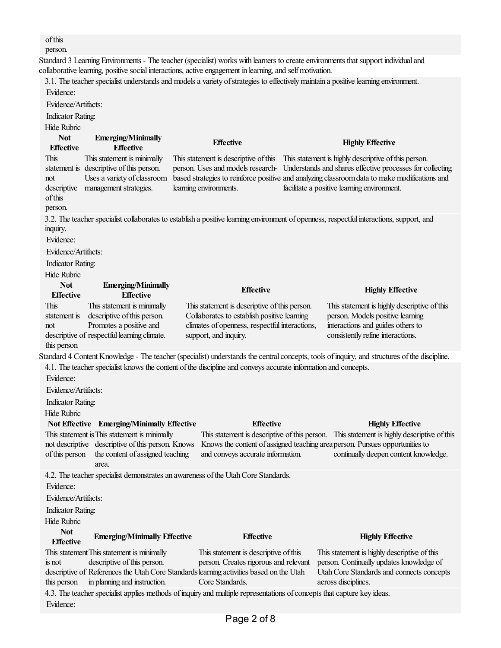# ofthis

person.

Standard 3 Learning Environments - The teacher (specialist) works with learners to create environments that support individual and collaborative learning, positive social interactions, active engagement in learning, and self motivation.

3.1. The teacher specialist understands and models a variety of strategies to effectively maintain a positive learning environment. Evidence:

Evidence/Artifacts:

Indicator Rating:

Hide Rubric

| TINN INIVIN                                                                                                             |                                                                                                                                                 |                                                                                                                                                                         |                                                                                                                                                                                                                                                                                                                                           |  |  |
|-------------------------------------------------------------------------------------------------------------------------|-------------------------------------------------------------------------------------------------------------------------------------------------|-------------------------------------------------------------------------------------------------------------------------------------------------------------------------|-------------------------------------------------------------------------------------------------------------------------------------------------------------------------------------------------------------------------------------------------------------------------------------------------------------------------------------------|--|--|
| <b>Not</b><br><b>Effective</b>                                                                                          | <b>Emerging/Minimally</b><br><b>Effective</b>                                                                                                   | <b>Effective</b>                                                                                                                                                        | <b>Highly Effective</b>                                                                                                                                                                                                                                                                                                                   |  |  |
| This<br>not<br>descriptive<br>of this<br>person.                                                                        | This statement is minimally<br>statement is descriptive of this person.<br>Uses a variety of classroom<br>management strategies.                | learning environments.                                                                                                                                                  | This statement is descriptive of this This statement is highly descriptive of this person.<br>person. Uses and models research- Understands and shares effective processes for collecting<br>based strategies to reinforce positive and analyzing classroom data to make modifications and<br>facilitate a positive learning environment. |  |  |
| inquiry.<br>Evidence:                                                                                                   |                                                                                                                                                 |                                                                                                                                                                         | 3.2. The teacher specialist collaborates to establish a positive learning environment of openness, respectful interactions, support, and                                                                                                                                                                                                  |  |  |
| Evidence/Artifacts:                                                                                                     |                                                                                                                                                 |                                                                                                                                                                         |                                                                                                                                                                                                                                                                                                                                           |  |  |
| <b>Indicator Rating:</b>                                                                                                |                                                                                                                                                 |                                                                                                                                                                         |                                                                                                                                                                                                                                                                                                                                           |  |  |
| Hide Rubric                                                                                                             |                                                                                                                                                 |                                                                                                                                                                         |                                                                                                                                                                                                                                                                                                                                           |  |  |
| <b>Not</b>                                                                                                              | <b>Emerging/Minimally</b>                                                                                                                       |                                                                                                                                                                         |                                                                                                                                                                                                                                                                                                                                           |  |  |
| <b>Effective</b>                                                                                                        | <b>Effective</b>                                                                                                                                | <b>Effective</b>                                                                                                                                                        | <b>Highly Effective</b>                                                                                                                                                                                                                                                                                                                   |  |  |
| This<br>statement is<br>not<br>this person                                                                              | This statement is minimally<br>descriptive of this person.<br>Promotes a positive and<br>descriptive of respectful learning climate.            | This statement is descriptive of this person.<br>Collaborates to establish positive learning<br>climates of openness, respectful interactions,<br>support, and inquiry. | This statement is highly descriptive of this<br>person. Models positive learning<br>interactions and guides others to<br>consistently refine interactions.                                                                                                                                                                                |  |  |
|                                                                                                                         |                                                                                                                                                 |                                                                                                                                                                         | Standard 4 Content Knowledge - The teacher (specialist) understands the central concepts, tools of inquiry, and structures of the discipline.                                                                                                                                                                                             |  |  |
| Evidence:<br>Evidence/Artifacts:<br><b>Indicator Rating:</b><br>Hide Rubric                                             |                                                                                                                                                 | 4.1. The teacher specialist knows the content of the discipline and conveys accurate information and concepts.                                                          |                                                                                                                                                                                                                                                                                                                                           |  |  |
|                                                                                                                         | Not Effective Emerging/Minimally Effective                                                                                                      | <b>Effective</b>                                                                                                                                                        | <b>Highly Effective</b>                                                                                                                                                                                                                                                                                                                   |  |  |
| of this person                                                                                                          | This statement is This statement is minimally<br>not descriptive descriptive of this person. Knows<br>the content of assigned teaching<br>area. | This statement is descriptive of this person.<br>and conveys accurate information.                                                                                      | This statement is highly descriptive of this<br>Knows the content of assigned teaching area person. Pursues opportunities to<br>continually deepen content knowledge.                                                                                                                                                                     |  |  |
|                                                                                                                         |                                                                                                                                                 | 4.2. The teacher specialist demonstrates an awareness of the Utah Core Standards.                                                                                       |                                                                                                                                                                                                                                                                                                                                           |  |  |
| Evidence:                                                                                                               |                                                                                                                                                 |                                                                                                                                                                         |                                                                                                                                                                                                                                                                                                                                           |  |  |
| Evidence/Artifacts:                                                                                                     |                                                                                                                                                 |                                                                                                                                                                         |                                                                                                                                                                                                                                                                                                                                           |  |  |
| Indicator Rating:                                                                                                       |                                                                                                                                                 |                                                                                                                                                                         |                                                                                                                                                                                                                                                                                                                                           |  |  |
| Hide Rubric                                                                                                             |                                                                                                                                                 |                                                                                                                                                                         |                                                                                                                                                                                                                                                                                                                                           |  |  |
| <b>Not</b>                                                                                                              | <b>Emerging/Minimally Effective</b>                                                                                                             | <b>Effective</b>                                                                                                                                                        | <b>Highly Effective</b>                                                                                                                                                                                                                                                                                                                   |  |  |
| <b>Effective</b>                                                                                                        |                                                                                                                                                 |                                                                                                                                                                         |                                                                                                                                                                                                                                                                                                                                           |  |  |
|                                                                                                                         | This statement This statement is minimally                                                                                                      | This statement is descriptive of this                                                                                                                                   | This statement is highly descriptive of this                                                                                                                                                                                                                                                                                              |  |  |
| is not                                                                                                                  | descriptive of this person.                                                                                                                     | person. Creates rigorous and relevant<br>descriptive of References the Utah Core Standards learning activities based on the Utah                                        | person. Continually updates knowledge of<br>Utah Core Standards and connects concepts                                                                                                                                                                                                                                                     |  |  |
| this person                                                                                                             | in planning and instruction.                                                                                                                    | Core Standards.                                                                                                                                                         | across disciplines.                                                                                                                                                                                                                                                                                                                       |  |  |
| 4.3. The teacher specialist applies methods of inquiry and multiple representations of concepts that capture key ideas. |                                                                                                                                                 |                                                                                                                                                                         |                                                                                                                                                                                                                                                                                                                                           |  |  |
| Evidence:                                                                                                               |                                                                                                                                                 |                                                                                                                                                                         |                                                                                                                                                                                                                                                                                                                                           |  |  |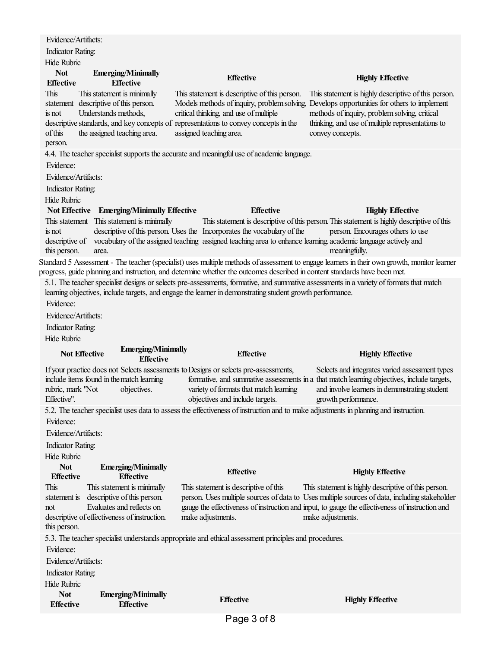|                                                                             | Evidence/Artifacts:                                                                                                         |                                                                                                                                                           |                                                                           |                                                                                                                                                                                                                                                                                                            |  |
|-----------------------------------------------------------------------------|-----------------------------------------------------------------------------------------------------------------------------|-----------------------------------------------------------------------------------------------------------------------------------------------------------|---------------------------------------------------------------------------|------------------------------------------------------------------------------------------------------------------------------------------------------------------------------------------------------------------------------------------------------------------------------------------------------------|--|
| <b>Indicator Rating:</b>                                                    |                                                                                                                             |                                                                                                                                                           |                                                                           |                                                                                                                                                                                                                                                                                                            |  |
| <b>Hide Rubric</b>                                                          |                                                                                                                             |                                                                                                                                                           |                                                                           |                                                                                                                                                                                                                                                                                                            |  |
| <b>Not</b>                                                                  | <b>Emerging/Minimally</b>                                                                                                   |                                                                                                                                                           | <b>Effective</b>                                                          | <b>Highly Effective</b>                                                                                                                                                                                                                                                                                    |  |
| <b>Effective</b>                                                            | <b>Effective</b>                                                                                                            |                                                                                                                                                           |                                                                           |                                                                                                                                                                                                                                                                                                            |  |
| This<br>is not<br>of this<br>person.                                        | This statement is minimally<br>statement descriptive of this person.<br>Understands methods,<br>the assigned teaching area. | critical thinking, and use of multiple<br>descriptive standards, and key concepts of representations to convey concepts in the<br>assigned teaching area. | This statement is descriptive of this person.                             | This statement is highly descriptive of this person.<br>Models methods of inquiry, problem solving, Develops opportunities for others to implement<br>methods of inquiry, problem solving, critical<br>thinking, and use of multiple representations to<br>convey concepts.                                |  |
|                                                                             |                                                                                                                             | 4.4. The teacher specialist supports the accurate and meaningful use of academic language.                                                                |                                                                           |                                                                                                                                                                                                                                                                                                            |  |
| Evidence:                                                                   |                                                                                                                             |                                                                                                                                                           |                                                                           |                                                                                                                                                                                                                                                                                                            |  |
| Evidence/Artifacts:                                                         |                                                                                                                             |                                                                                                                                                           |                                                                           |                                                                                                                                                                                                                                                                                                            |  |
|                                                                             |                                                                                                                             |                                                                                                                                                           |                                                                           |                                                                                                                                                                                                                                                                                                            |  |
| <b>Indicator Rating:</b>                                                    |                                                                                                                             |                                                                                                                                                           |                                                                           |                                                                                                                                                                                                                                                                                                            |  |
| Hide Rubric                                                                 |                                                                                                                             |                                                                                                                                                           | <b>Effective</b>                                                          |                                                                                                                                                                                                                                                                                                            |  |
| is not<br>this person.                                                      | Not Effective Emerging/Minimally Effective<br>This statement This statement is minimally<br>area.                           | descriptive of this person. Uses the Incorporates the vocabulary of the                                                                                   |                                                                           | <b>Highly Effective</b><br>This statement is descriptive of this person. This statement is highly descriptive of this<br>person. Encourages others to use<br>descriptive of vocabulary of the assigned teaching assigned teaching area to enhance learning academic language actively and<br>meaningfully. |  |
|                                                                             |                                                                                                                             |                                                                                                                                                           |                                                                           | Standard 5 Assessment - The teacher (specialist) uses multiple methods of assessment to engage learners in their own growth, monitor learner                                                                                                                                                               |  |
|                                                                             |                                                                                                                             |                                                                                                                                                           |                                                                           | progress, guide planning and instruction, and determine whether the outcomes described in content standards have been met.<br>5.1. The teacher specialist designs or selects pre-assessments, formative, and summative assessments in a variety of formats that match                                      |  |
| Evidence:<br>Evidence/Artifacts:<br><b>Indicator Rating:</b><br>Hide Rubric |                                                                                                                             | learning objectives, include targets, and engage the learner in demonstrating student growth performance.<br><b>Emerging/Minimally</b>                    | <b>Effective</b>                                                          | <b>Highly Effective</b>                                                                                                                                                                                                                                                                                    |  |
|                                                                             | <b>Not Effective</b>                                                                                                        |                                                                                                                                                           |                                                                           |                                                                                                                                                                                                                                                                                                            |  |
|                                                                             | <b>Effective</b>                                                                                                            |                                                                                                                                                           |                                                                           |                                                                                                                                                                                                                                                                                                            |  |
| rubric, mark "Not<br>Effective".                                            | include items found in the match learning<br>objectives.                                                                    | If your practice does not Selects assessments to Designs or selects pre-assessments,                                                                      | variety of formats that match learning<br>objectives and include targets. | Selects and integrates varied assessment types<br>formative, and summative assessments in a that match learning objectives, include targets,<br>and involve learners in demonstrating student<br>growth performance.                                                                                       |  |
|                                                                             |                                                                                                                             |                                                                                                                                                           |                                                                           |                                                                                                                                                                                                                                                                                                            |  |
|                                                                             |                                                                                                                             |                                                                                                                                                           |                                                                           | 5.2. The teacher specialist uses data to assess the effectiveness of instruction and to make adjustments in planning and instruction.                                                                                                                                                                      |  |
| Evidence:                                                                   |                                                                                                                             |                                                                                                                                                           |                                                                           |                                                                                                                                                                                                                                                                                                            |  |
| Evidence/Artifacts:                                                         |                                                                                                                             |                                                                                                                                                           |                                                                           |                                                                                                                                                                                                                                                                                                            |  |
| <b>Indicator Rating:</b>                                                    |                                                                                                                             |                                                                                                                                                           |                                                                           |                                                                                                                                                                                                                                                                                                            |  |
| Hide Rubric                                                                 |                                                                                                                             |                                                                                                                                                           |                                                                           |                                                                                                                                                                                                                                                                                                            |  |
| <b>Not</b><br><b>Effective</b>                                              | <b>Emerging/Minimally</b><br><b>Effective</b>                                                                               |                                                                                                                                                           | <b>Effective</b>                                                          | <b>Highly Effective</b>                                                                                                                                                                                                                                                                                    |  |
| This                                                                        | This statement is minimally                                                                                                 |                                                                                                                                                           | This statement is descriptive of this                                     | This statement is highly descriptive of this person.                                                                                                                                                                                                                                                       |  |
| statement is                                                                | descriptive of this person.                                                                                                 |                                                                                                                                                           |                                                                           | person. Uses multiple sources of data to Uses multiple sources of data, including stakeholder                                                                                                                                                                                                              |  |
| not                                                                         | Evaluates and reflects on                                                                                                   |                                                                                                                                                           |                                                                           | gauge the effectiveness of instruction and input, to gauge the effectiveness of instruction and                                                                                                                                                                                                            |  |
|                                                                             | descriptive of effectiveness of instruction.                                                                                | make adjustments.                                                                                                                                         |                                                                           | make adjustments.                                                                                                                                                                                                                                                                                          |  |
| this person.                                                                |                                                                                                                             |                                                                                                                                                           |                                                                           |                                                                                                                                                                                                                                                                                                            |  |
|                                                                             |                                                                                                                             | 5.3. The teacher specialist understands appropriate and ethical assessment principles and procedures.                                                     |                                                                           |                                                                                                                                                                                                                                                                                                            |  |
| Evidence:                                                                   |                                                                                                                             |                                                                                                                                                           |                                                                           |                                                                                                                                                                                                                                                                                                            |  |
| Evidence/Artifacts:                                                         |                                                                                                                             |                                                                                                                                                           |                                                                           |                                                                                                                                                                                                                                                                                                            |  |
| <b>Indicator Rating:</b>                                                    |                                                                                                                             |                                                                                                                                                           |                                                                           |                                                                                                                                                                                                                                                                                                            |  |
| Hide Rubric<br><b>Not</b>                                                   | <b>Emerging/Minimally</b>                                                                                                   |                                                                                                                                                           |                                                                           |                                                                                                                                                                                                                                                                                                            |  |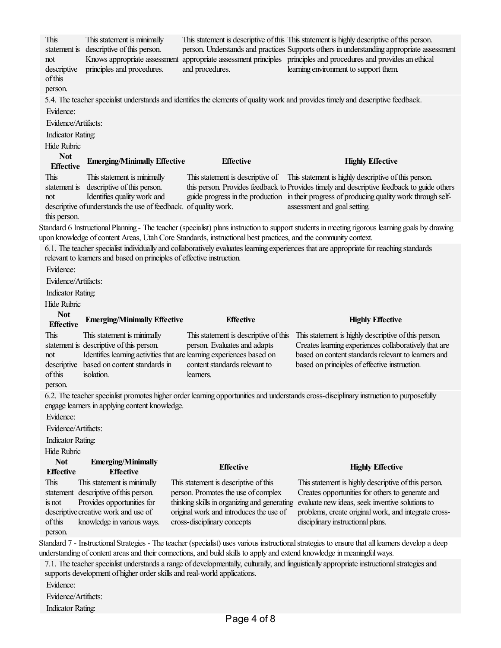Standard 6 Instructional Planning - The teacher (specialist) plans instruction to support students in meeting rigorous learning goals by drawing upon knowledge of content Areas, Utah Core Standards, instructional best practices, and the community context. Standard 7 - Instructional Strategies - The teacher (specialist) uses various instructional strategies to ensure that all learners develop a deep understanding of content areas and their connections, and build skills to apply and extend knowledge in meaningful ways. This statement is descriptive ofthis person. not descriptive ofthis person. This statement is minimally Knows appropriate assessment principles and procedures. This statement is descriptive ofthis This statement is highly descriptive ofthis person. person. Understands and practices Supports others in understanding appropriate assessment appropriate assessment principles principles and procedures and provides an ethical and procedures. learning environment to support them. 5.4. The teacher specialist understands and identifies the elements of quality work and provides timely and descriptive feedback. Evidence: Evidence/Artifacts: Indicator Rating: Hide Rubric **Not Effective Emerging/Minimally Effective Effective Highly Effective** This statement is descriptive of this person. not descriptive of understands the use of feedback. of quality work. this person. This statement is minimally Identifies qualitywork and This statement is descriptive of This statement is highly descriptive ofthis person. this person. Provides feedback to Provides timely and descriptive feedback to guide others guide progress in the production in their progress of producing qualitywork through selfassessment and goal setting. 6.1. Theteacher specialist individually and collaboratively evaluates learning experiences thatareappropriatefor reaching standards relevant to learners and based on principles of effective instruction. Evidence: Evidence/Artifacts: Indicator Rating: Hide Rubric **Not Effective Emerging/Minimally Effective Effective Highly Effective** This statement is descriptive of this person. not descriptive based on content standards in of this person. This statement is minimally Identifies learning activities that are learning experiences based on isolation. This statement is descriptive ofthis person. Evaluates and adapts content standards relevant to learners. This statement is highly descriptive ofthis person. Creates learning experiences collaboratively that are based on content standards relevant to learners and based on principles of effective instruction. 6.2. The teacher specialist promotes higher order learning opportunities and understands cross-disciplinary instruction to purposefully engage learners in applying content knowledge. Evidence: Evidence/Artifacts: Indicator Rating: Hide Rubric **Not Effective Emerging/Minimally Effective Effective Highly Effective** This statement descriptive of this person. is not descriptive creative work and use of of this person. This statement is minimally Provides opportunities for knowledge in various ways. This statement is descriptive of this person. Promotes the use of complex thinking skills in organizing and generating originalwork and introduces the use of cross-disciplinary concepts This statement is highly descriptive of this person. Creates opportunities for others to generate and evaluate new ideas, seek inventive solutions to problems, create original work, and integrate crossdisciplinary instructional plans. 7.1. The teacher specialist understands a range of developmentally, culturally, and linguistically appropriate instructional strategies and supports development of higher order skills and real-world applications. Evidence: Evidence/Artifacts: Indicator Rating: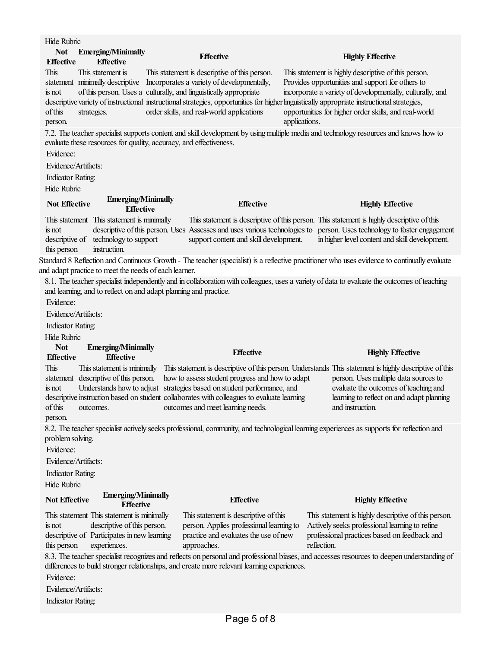Standard 8 Reflection and Continuous Growth - The teacher (specialist) is a reflective practitioner who uses evidence to continually evaluate and adapt practice to meet the needs of each learner. Hide Rubric **Not Effective Emerging/Minimally Effective Effective Highly Effective** This statement minimally descriptive Incorporatesa variety of developmentally, is not descriptive variety of instructional instructional strategies, opportunities for higher linguistically appropriate instructional strategies, ofthis person. This statement is of this person. Uses a culturally, and linguistically appropriate strategies. This statement is descriptive of this person. order skills, and real-world applications This statement is highly descriptive of this person. Provides opportunities and support for others to incorporate a variety of developmentally, culturally, and opportunities for higher order skills, and real-world applications. 7.2. The teacher specialist supports content and skill development by using multiple media and technology resources and knows how to evaluate these resources for quality, accuracy, and effectiveness. Evidence: Evidence/Artifacts: Indicator Rating: Hide Rubric **Not Effective Emerging/Minimally Effective Effective Highly Effective** This statement This statement is minimally is not descriptive of this person descriptive of this person. Uses Assesses and uses various technologies to person. Uses technology to foster engagement technology to support instruction. This statement is descriptive ofthis person. This statement is highly descriptive ofthis support content and skill development. in higher level content and skill development. 8.1. The teacher specialist independently and in collaboration with colleagues, uses a variety of data to evaluate the outcomes of teaching and learning, and to reflect on and adapt planning and practice. Evidence: Evidence/Artifacts: Indicator Rating: Hide Rubric **Not Effective Emerging/Minimally Effective Effective Highly Effective** This statement descriptive of this person. is not descriptive instruction based on student collaborates with colleagues to evaluate learning ofthis person. This statement is minimally This statement is descriptive ofthis person. Understands This statement is highly descriptive ofthis Understands how to adjust strategies based on student performance, and outcomes. how to assess student progress and how to adapt outcomes and meet learning needs. person. Uses multiple data sources to evaluate the outcomes of teaching and learning to reflect on and adapt planning and instruction. 8.2. The teacher specialist actively seeks professional, community, and technological learning experiences as supports for reflection and problemsolving. Evidence: Evidence/Artifacts: Indicator Rating: Hide Rubric **Not Effective Emerging/Minimally Effective Effective Highly Effective** This statement This statement is minimally is not descriptive of Participates in new learning this person descriptive of this person. experiences. This statement is descriptive of this person. Applies professional learning to practiceand evaluates the use of new approaches. This statement is highly descriptive of this person. Actively seeks professional learning to refine professional practices based on feedback and reflection. 8.3. The teacher specialist recognizes and reflects on personal and professional biases, and accesses resources to deepen understanding of differences to build stronger relationships, and create more relevant learning experiences. Evidence: Evidence/Artifacts: Indicator Rating: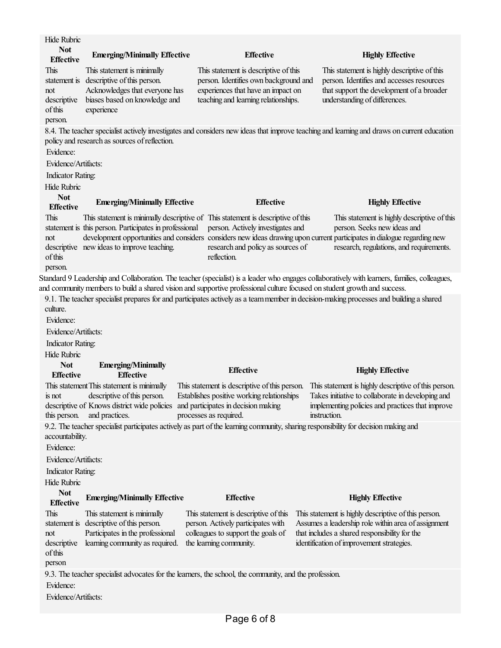| <b>Hide Rubric</b>                      |                                                                                 |                                                                                                        |                                                                                                                                                                     |  |  |
|-----------------------------------------|---------------------------------------------------------------------------------|--------------------------------------------------------------------------------------------------------|---------------------------------------------------------------------------------------------------------------------------------------------------------------------|--|--|
| <b>Not</b>                              | <b>Emerging/Minimally Effective</b>                                             | <b>Effective</b>                                                                                       | <b>Highly Effective</b>                                                                                                                                             |  |  |
| <b>Effective</b><br>This                | This statement is minimally                                                     | This statement is descriptive of this                                                                  | This statement is highly descriptive of this                                                                                                                        |  |  |
| statement is                            | descriptive of this person.                                                     | person. Identifies own background and                                                                  | person. Identifies and accesses resources                                                                                                                           |  |  |
| not                                     | Acknowledges that everyone has                                                  | experiences that have an impact on                                                                     | that support the development of a broader                                                                                                                           |  |  |
| descriptive                             | biases based on knowledge and                                                   | teaching and learning relationships.                                                                   | understanding of differences.                                                                                                                                       |  |  |
| of this                                 | experience                                                                      |                                                                                                        |                                                                                                                                                                     |  |  |
| person.                                 |                                                                                 |                                                                                                        |                                                                                                                                                                     |  |  |
|                                         | policy and research as sources of reflection.                                   |                                                                                                        | 8.4. The teacher specialist actively investigates and considers new ideas that improve teaching and learning and draws on current education                         |  |  |
| Evidence:                               |                                                                                 |                                                                                                        |                                                                                                                                                                     |  |  |
| Evidence/Artifacts:                     |                                                                                 |                                                                                                        |                                                                                                                                                                     |  |  |
| <b>Indicator Rating:</b>                |                                                                                 |                                                                                                        |                                                                                                                                                                     |  |  |
| Hide Rubric                             |                                                                                 |                                                                                                        |                                                                                                                                                                     |  |  |
| <b>Not</b>                              |                                                                                 |                                                                                                        |                                                                                                                                                                     |  |  |
| <b>Effective</b>                        | <b>Emerging/Minimally Effective</b>                                             | <b>Effective</b>                                                                                       | <b>Highly Effective</b>                                                                                                                                             |  |  |
| This                                    |                                                                                 | This statement is minimally descriptive of This statement is descriptive of this                       | This statement is highly descriptive of this                                                                                                                        |  |  |
|                                         | statement is this person. Participates in professional                          | person. Actively investigates and                                                                      | person. Seeks new ideas and                                                                                                                                         |  |  |
| not                                     | descriptive new ideas to improve teaching.                                      | research and policy as sources of                                                                      | development opportunities and considers considers new ideas drawing upon current participates in dialogue regarding new<br>research, regulations, and requirements. |  |  |
| of this                                 |                                                                                 | reflection.                                                                                            |                                                                                                                                                                     |  |  |
| person.                                 |                                                                                 |                                                                                                        |                                                                                                                                                                     |  |  |
|                                         |                                                                                 |                                                                                                        | Standard 9 Leadership and Collaboration. The teacher (specialist) is a leader who engages collaboratively with learners, families, colleagues,                      |  |  |
|                                         |                                                                                 |                                                                                                        | and community members to build a shared vision and supportive professional culture focused on student growth and success.                                           |  |  |
|                                         |                                                                                 |                                                                                                        | 9.1. The teacher specialist prepares for and participates actively as a team member in decision-making processes and building a shared                              |  |  |
| culture.                                |                                                                                 |                                                                                                        |                                                                                                                                                                     |  |  |
| Evidence:                               |                                                                                 |                                                                                                        |                                                                                                                                                                     |  |  |
| Evidence/Artifacts:                     |                                                                                 |                                                                                                        |                                                                                                                                                                     |  |  |
|                                         |                                                                                 |                                                                                                        |                                                                                                                                                                     |  |  |
| <b>Indicator Rating:</b>                |                                                                                 |                                                                                                        |                                                                                                                                                                     |  |  |
| <b>Hide Rubric</b>                      |                                                                                 |                                                                                                        |                                                                                                                                                                     |  |  |
| <b>Not</b><br><b>Effective</b>          | <b>Emerging/Minimally</b><br><b>Effective</b>                                   | <b>Effective</b>                                                                                       | <b>Highly Effective</b>                                                                                                                                             |  |  |
|                                         | This statement This statement is minimally                                      | This statement is descriptive of this person.                                                          | This statement is highly descriptive of this person.                                                                                                                |  |  |
| is not                                  | descriptive of this person.                                                     | Establishes positive working relationships                                                             | Takes initiative to collaborate in developing and                                                                                                                   |  |  |
|                                         | descriptive of Knows district wide policies and participates in decision making |                                                                                                        | implementing policies and practices that improve                                                                                                                    |  |  |
| this person.                            | and practices.                                                                  | processes as required.                                                                                 | instruction.                                                                                                                                                        |  |  |
|                                         |                                                                                 |                                                                                                        | 9.2. The teacher specialist participates actively as part of the learning community, sharing responsibility for decision making and                                 |  |  |
| accountability.                         |                                                                                 |                                                                                                        |                                                                                                                                                                     |  |  |
| Evidence:                               |                                                                                 |                                                                                                        |                                                                                                                                                                     |  |  |
| Evidence/Artifacts:                     |                                                                                 |                                                                                                        |                                                                                                                                                                     |  |  |
| <b>Indicator Rating:</b><br>Hide Rubric |                                                                                 |                                                                                                        |                                                                                                                                                                     |  |  |
| <b>Not</b>                              |                                                                                 |                                                                                                        |                                                                                                                                                                     |  |  |
| <b>Effective</b>                        | <b>Emerging/Minimally Effective</b>                                             | <b>Effective</b>                                                                                       | <b>Highly Effective</b>                                                                                                                                             |  |  |
| This                                    | This statement is minimally                                                     | This statement is descriptive of this                                                                  | This statement is highly descriptive of this person.                                                                                                                |  |  |
|                                         | statement is descriptive of this person.                                        | person. Actively participates with                                                                     | Assumes a leadership role within area of assignment                                                                                                                 |  |  |
| not                                     | Participates in the professional                                                | colleagues to support the goals of                                                                     | that includes a shared responsibility for the                                                                                                                       |  |  |
| descriptive<br>of this                  | learning community as required.                                                 | the learning community.                                                                                | identification of improvement strategies.                                                                                                                           |  |  |
| person                                  |                                                                                 |                                                                                                        |                                                                                                                                                                     |  |  |
|                                         |                                                                                 | 9.3. The teacher specialist advocates for the learners, the school, the community, and the profession. |                                                                                                                                                                     |  |  |
| Evidence:                               |                                                                                 |                                                                                                        |                                                                                                                                                                     |  |  |
| Evidence/Artifacts:                     |                                                                                 |                                                                                                        |                                                                                                                                                                     |  |  |
|                                         |                                                                                 | Page 6 of 8                                                                                            |                                                                                                                                                                     |  |  |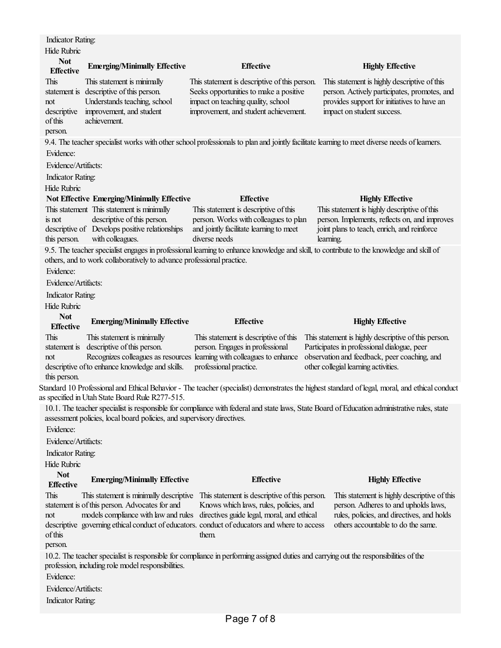| <b>Indicator Rating:</b>                                                                                                                                                                                               |                                                                                                                                                     |                                                                                                                                                                                                                                                                                        |                                                                                                                                                                           |  |  |
|------------------------------------------------------------------------------------------------------------------------------------------------------------------------------------------------------------------------|-----------------------------------------------------------------------------------------------------------------------------------------------------|----------------------------------------------------------------------------------------------------------------------------------------------------------------------------------------------------------------------------------------------------------------------------------------|---------------------------------------------------------------------------------------------------------------------------------------------------------------------------|--|--|
| <b>Hide Rubric</b>                                                                                                                                                                                                     |                                                                                                                                                     |                                                                                                                                                                                                                                                                                        |                                                                                                                                                                           |  |  |
| <b>Not</b><br><b>Effective</b>                                                                                                                                                                                         | <b>Emerging/Minimally Effective</b>                                                                                                                 | <b>Effective</b>                                                                                                                                                                                                                                                                       | <b>Highly Effective</b>                                                                                                                                                   |  |  |
| This<br>not<br>descriptive<br>of this                                                                                                                                                                                  | This statement is minimally<br>statement is descriptive of this person.<br>Understands teaching, school<br>improvement, and student<br>achievement. | This statement is descriptive of this person.<br>Seeks opportunities to make a positive<br>impact on teaching quality, school<br>improvement, and student achievement.                                                                                                                 | This statement is highly descriptive of this<br>person. Actively participates, promotes, and<br>provides support for initiatives to have an<br>impact on student success. |  |  |
| person.                                                                                                                                                                                                                |                                                                                                                                                     |                                                                                                                                                                                                                                                                                        | 9.4. The teacher specialist works with other school professionals to plan and jointly facilitate learning to meet diverse needs of learners.                              |  |  |
| Evidence:                                                                                                                                                                                                              |                                                                                                                                                     |                                                                                                                                                                                                                                                                                        |                                                                                                                                                                           |  |  |
| Evidence/Artifacts:                                                                                                                                                                                                    |                                                                                                                                                     |                                                                                                                                                                                                                                                                                        |                                                                                                                                                                           |  |  |
| <b>Indicator Rating:</b>                                                                                                                                                                                               |                                                                                                                                                     |                                                                                                                                                                                                                                                                                        |                                                                                                                                                                           |  |  |
| Hide Rubric                                                                                                                                                                                                            |                                                                                                                                                     |                                                                                                                                                                                                                                                                                        |                                                                                                                                                                           |  |  |
|                                                                                                                                                                                                                        | <b>Not Effective Emerging/Minimally Effective</b>                                                                                                   | <b>Effective</b>                                                                                                                                                                                                                                                                       | <b>Highly Effective</b>                                                                                                                                                   |  |  |
|                                                                                                                                                                                                                        | This statement This statement is minimally                                                                                                          | This statement is descriptive of this                                                                                                                                                                                                                                                  | This statement is highly descriptive of this                                                                                                                              |  |  |
| is not<br>this person.                                                                                                                                                                                                 | descriptive of this person.<br>descriptive of Develops positive relationships<br>with colleagues.                                                   | person. Works with colleagues to plan<br>and jointly facilitate learning to meet<br>diverse needs                                                                                                                                                                                      | person. Implements, reflects on, and improves<br>joint plans to teach, enrich, and reinforce<br>learning.                                                                 |  |  |
|                                                                                                                                                                                                                        |                                                                                                                                                     |                                                                                                                                                                                                                                                                                        | 9.5. The teacher specialist engages in professional learning to enhance knowledge and skill, to contribute to the knowledge and skill of                                  |  |  |
|                                                                                                                                                                                                                        | others, and to work collaboratively to advance professional practice.                                                                               |                                                                                                                                                                                                                                                                                        |                                                                                                                                                                           |  |  |
| Evidence:                                                                                                                                                                                                              |                                                                                                                                                     |                                                                                                                                                                                                                                                                                        |                                                                                                                                                                           |  |  |
| Evidence/Artifacts:                                                                                                                                                                                                    |                                                                                                                                                     |                                                                                                                                                                                                                                                                                        |                                                                                                                                                                           |  |  |
| <b>Indicator Rating:</b>                                                                                                                                                                                               |                                                                                                                                                     |                                                                                                                                                                                                                                                                                        |                                                                                                                                                                           |  |  |
| Hide Rubric                                                                                                                                                                                                            |                                                                                                                                                     |                                                                                                                                                                                                                                                                                        |                                                                                                                                                                           |  |  |
| <b>Not</b><br><b>Effective</b>                                                                                                                                                                                         | <b>Emerging/Minimally Effective</b>                                                                                                                 | <b>Effective</b>                                                                                                                                                                                                                                                                       | <b>Highly Effective</b>                                                                                                                                                   |  |  |
| This                                                                                                                                                                                                                   | This statement is minimally                                                                                                                         | This statement is descriptive of this                                                                                                                                                                                                                                                  | This statement is highly descriptive of this person.                                                                                                                      |  |  |
| statement is<br>not<br>this person.                                                                                                                                                                                    | descriptive of this person.<br>descriptive of to enhance knowledge and skills.                                                                      | person. Engages in professional<br>Recognizes colleagues as resources learning with colleagues to enhance<br>professional practice.                                                                                                                                                    | Participates in professional dialogue, peer<br>observation and feedback, peer coaching, and<br>other collegial learning activities.                                       |  |  |
|                                                                                                                                                                                                                        |                                                                                                                                                     |                                                                                                                                                                                                                                                                                        | Standard 10 Professional and Ethical Behavior - The teacher (specialist) demonstrates the highest standard of legal, moral, and ethical conduct                           |  |  |
|                                                                                                                                                                                                                        | as specified in Utah State Board Rule R277-515.                                                                                                     |                                                                                                                                                                                                                                                                                        |                                                                                                                                                                           |  |  |
| 10.1. The teacher specialist is responsible for compliance with federal and state laws, State Board of Education administrative rules, state<br>assessment policies, local board policies, and supervisory directives. |                                                                                                                                                     |                                                                                                                                                                                                                                                                                        |                                                                                                                                                                           |  |  |
| Evidence:                                                                                                                                                                                                              |                                                                                                                                                     |                                                                                                                                                                                                                                                                                        |                                                                                                                                                                           |  |  |
| Evidence/Artifacts:                                                                                                                                                                                                    |                                                                                                                                                     |                                                                                                                                                                                                                                                                                        |                                                                                                                                                                           |  |  |
| <b>Indicator Rating:</b>                                                                                                                                                                                               |                                                                                                                                                     |                                                                                                                                                                                                                                                                                        |                                                                                                                                                                           |  |  |
| Hide Rubric<br><b>Not</b>                                                                                                                                                                                              |                                                                                                                                                     |                                                                                                                                                                                                                                                                                        |                                                                                                                                                                           |  |  |
| <b>Effective</b>                                                                                                                                                                                                       | <b>Emerging/Minimally Effective</b>                                                                                                                 | <b>Effective</b>                                                                                                                                                                                                                                                                       | <b>Highly Effective</b>                                                                                                                                                   |  |  |
| This<br>not<br>of this<br>person.                                                                                                                                                                                      | statement is of this person. Advocates for and<br>models compliance with law and rules                                                              | This statement is minimally descriptive This statement is descriptive of this person.<br>Knows which laws, rules, policies, and<br>directives guide legal, moral, and ethical<br>descriptive governing ethical conduct of educators. conduct of educators and where to access<br>them. | This statement is highly descriptive of this<br>person. Adheres to and upholds laws,<br>rules, policies, and directives, and holds<br>others accountable to do the same.  |  |  |
| Evidence:<br>Evidence/Artifacts:<br><b>Indicator Rating:</b>                                                                                                                                                           | profession, including role model responsibilities.                                                                                                  | 10.2. The teacher specialist is responsible for compliance in performing assigned duties and carrying out the responsibilities of the                                                                                                                                                  |                                                                                                                                                                           |  |  |
|                                                                                                                                                                                                                        |                                                                                                                                                     |                                                                                                                                                                                                                                                                                        |                                                                                                                                                                           |  |  |